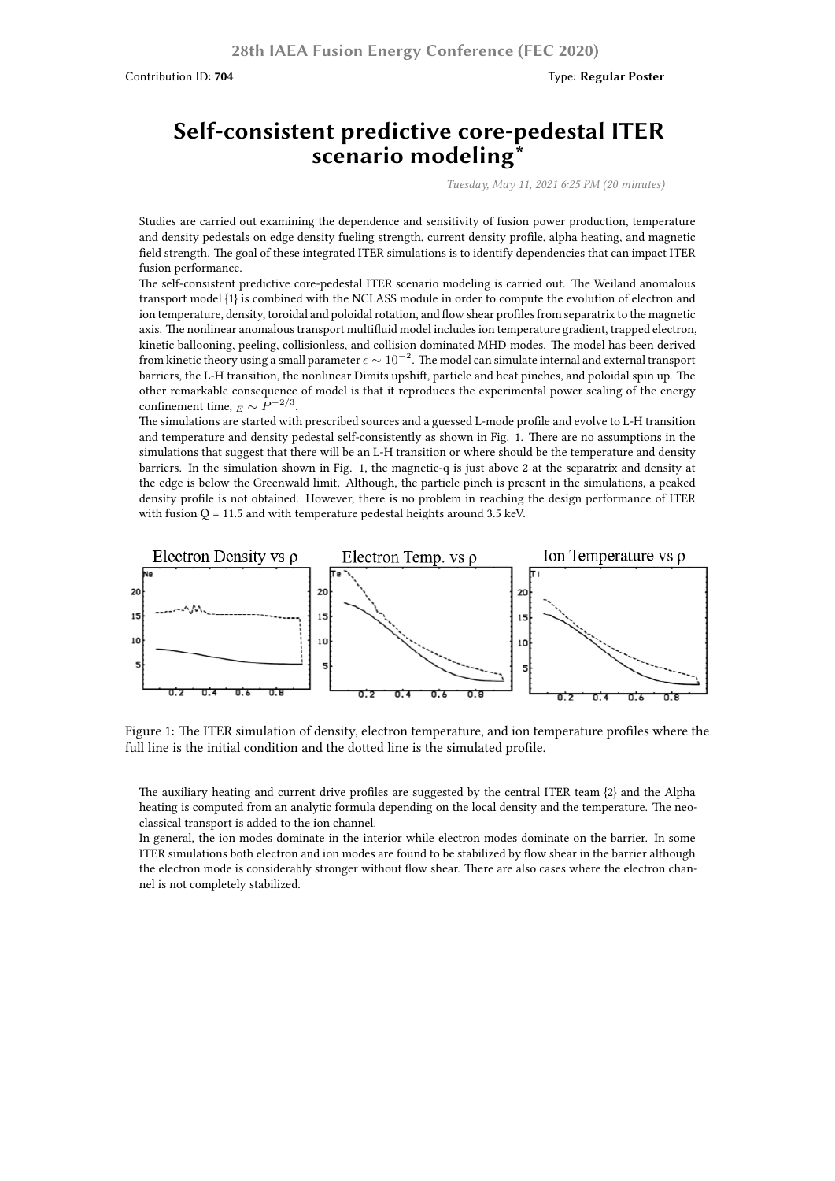## **Self-consistent predictive core-pedestal ITER scenario modeling\***

*Tuesday, May 11, 2021 6:25 PM (20 minutes)*

Studies are carried out examining the dependence and sensitivity of fusion power production, temperature and density pedestals on edge density fueling strength, current density profile, alpha heating, and magnetic field strength. The goal of these integrated ITER simulations is to identify dependencies that can impact ITER fusion performance.

The self-consistent predictive core-pedestal ITER scenario modeling is carried out. The Weiland anomalous transport model {1} is combined with the NCLASS module in order to compute the evolution of electron and ion temperature, density, toroidal and poloidal rotation, and flow shear profiles from separatrix to the magnetic axis. The nonlinear anomalous transport multifluid model includes ion temperature gradient, trapped electron, kinetic ballooning, peeling, collisionless, and collision dominated MHD modes. The model has been derived from kinetic theory using a small parameter  $\epsilon \sim 10^{-2}$ . The model can simulate internal and external transport barriers, the L-H transition, the nonlinear Dimits upshift, particle and heat pinches, and poloidal spin up. The other remarkable consequence of model is that it reproduces the experimental power scaling of the energy confinement time,  $E \sim P^{-2/3}$ .

The simulations are started with prescribed sources and a guessed L-mode profile and evolve to L-H transition and temperature and density pedestal self-consistently as shown in Fig. 1. There are no assumptions in the simulations that suggest that there will be an L-H transition or where should be the temperature and density barriers. In the simulation shown in Fig. 1, the magnetic-q is just above 2 at the separatrix and density at the edge is below the Greenwald limit. Although, the particle pinch is present in the simulations, a peaked density profile is not obtained. However, there is no problem in reaching the design performance of ITER with fusion  $Q = 11.5$  and with temperature pedestal heights around 3.5 keV.



Figure 1: The ITER simulation of density, electron temperature, and ion temperature profiles where the full line is the initial condition and the dotted line is the simulated profile.

The auxiliary heating and current drive profiles are suggested by the central ITER team  $\{2\}$  and the Alpha heating is computed from an analytic formula depending on the local density and the temperature. The neoclassical transport is added to the ion channel.

In general, the ion modes dominate in the interior while electron modes dominate on the barrier. In some ITER simulations both electron and ion modes are found to be stabilized by flow shear in the barrier although the electron mode is considerably stronger without flow shear. There are also cases where the electron channel is not completely stabilized.